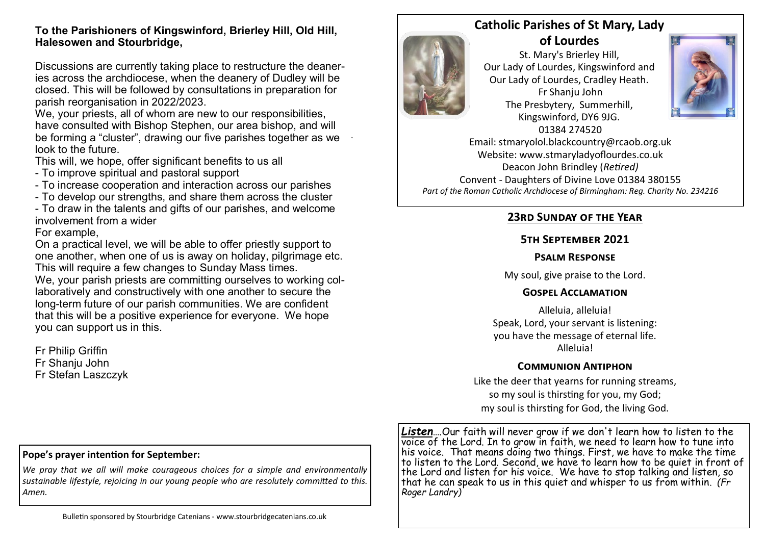#### **To the Parishioners of Kingswinford, Brierley Hill, Old Hill, Halesowen and Stourbridge,**

Discussions are currently taking place to restructure the deaneries across the archdiocese, when the deanery of Dudley will be closed. This will be followed by consultations in preparation for parish reorganisation in 2022/2023.

We, your priests, all of whom are new to our responsibilities, have consulted with Bishop Stephen, our area bishop, and will be forming a "cluster", drawing our five parishes together as we look to the future.

.

This will, we hope, offer significant benefits to us all

- To improve spiritual and pastoral support
- To increase cooperation and interaction across our parishes
- To develop our strengths, and share them across the cluster

- To draw in the talents and gifts of our parishes, and welcome involvement from a wider

For example,

On a practical level, we will be able to offer priestly support to one another, when one of us is away on holiday, pilgrimage etc. This will require a few changes to Sunday Mass times.

We, your parish priests are committing ourselves to working collaboratively and constructively with one another to secure the long-term future of our parish communities. We are confident that this will be a positive experience for everyone. We hope you can support us in this.

Fr Philip Griffin Fr Shanju John Fr Stefan Laszczyk

## **Catholic Parishes of St Mary, Lady of Lourdes**

St. Mary's Brierley Hill, Our Lady of Lourdes, Kingswinford and Our Lady of Lourdes, Cradley Heath. Fr Shanju John The Presbytery, Summerhill, Kingswinford, DY6 9JG. 01384 274520



Email: stmaryolol.blackcountry@rcaob.org.uk Website: www.stmaryladyoflourdes.co.uk Deacon John Brindley (*Retired)* Convent - Daughters of Divine Love 01384 380155 *Part of the Roman Catholic Archdiocese of Birmingham: Reg. Charity No. 234216*

# **23rd Sunday of the Year**

## **5th September 2021**

#### **Psalm Response**

My soul, give praise to the Lord.

### **Gospel Acclamation**

Alleluia, alleluia! Speak, Lord, your servant is listening: you have the message of eternal life. Alleluia!

### **Communion Antiphon**

Like the deer that yearns for running streams, so my soul is thirsting for you, my God; my soul is thirsting for God, the living God.

#### **Pope's prayer intention for September:**

*We pray that we all will make courageous choices for a simple and environmentally sustainable lifestyle, rejoicing in our young people who are resolutely committed to this. Amen.*

*Listen*….Our faith will never grow if we don't learn how to listen to the voice of the Lord. In to grow in faith, we need to learn how to tune into his voice. That means doing two things. First, we have to make the time to listen to the Lord. Second, we have to learn how to be quiet in front of the Lord and listen for his voice. We have to stop talking and listen, so that he can speak to us in this quiet and whisper to us from within. *(Fr Roger Landry)*